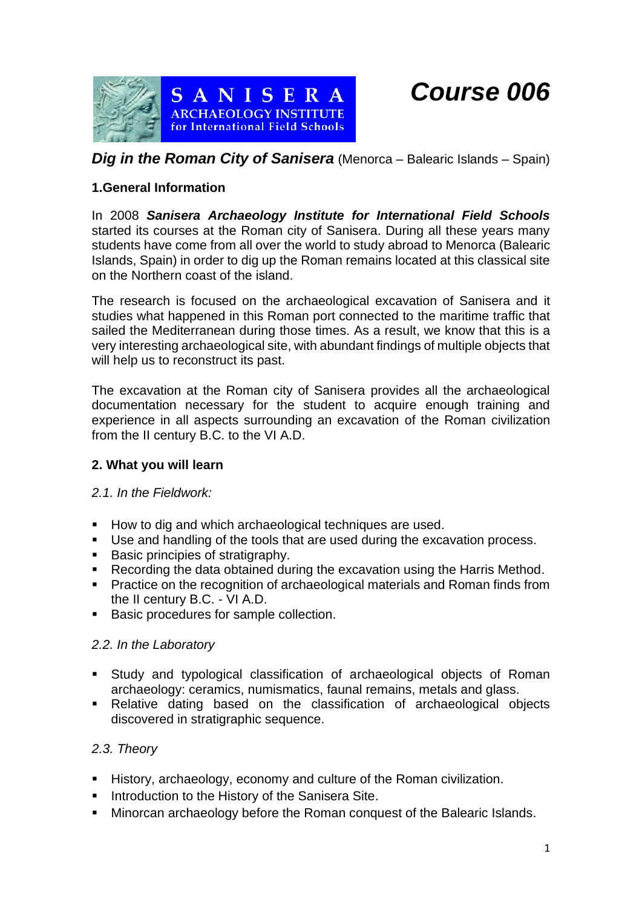*Course 006*



# *Dig in the Roman City of Sanisera* (Menorca – Balearic Islands – Spain)

### **1.General Information**

In 2008 *Sanisera Archaeology Institute for International Field Schools*  started its courses at the Roman city of Sanisera. During all these years many students have come from all over the world to study abroad to Menorca (Balearic Islands, Spain) in order to dig up the Roman remains located at this classical site on the Northern coast of the island.

The research is focused on the archaeological excavation of Sanisera and it studies what happened in this Roman port connected to the maritime traffic that sailed the Mediterranean during those times. As a result, we know that this is a very interesting archaeological site, with abundant findings of multiple objects that will help us to reconstruct its past.

The excavation at the Roman city of Sanisera provides all the archaeological documentation necessary for the student to acquire enough training and experience in all aspects surrounding an excavation of the Roman civilization from the II century B.C. to the VI A.D.

#### **2. What you will learn**

#### *2.1. In the Fieldwork:*

- How to dig and which archaeological techniques are used.
- Use and handling of the tools that are used during the excavation process.
- Basic principies of stratigraphy.
- Recording the data obtained during the excavation using the Harris Method.
- Practice on the recognition of archaeological materials and Roman finds from the II century B.C. - VI A.D.
- Basic procedures for sample collection.

#### *2.2. In the Laboratory*

- Study and typological classification of archaeological objects of Roman archaeology: ceramics, numismatics, faunal remains, metals and glass.
- Relative dating based on the classification of archaeological objects discovered in stratigraphic sequence.

# *2.3. Theory*

- History, archaeology, economy and culture of the Roman civilization.
- Introduction to the History of the Sanisera Site.
- Minorcan archaeology before the Roman conquest of the Balearic Islands.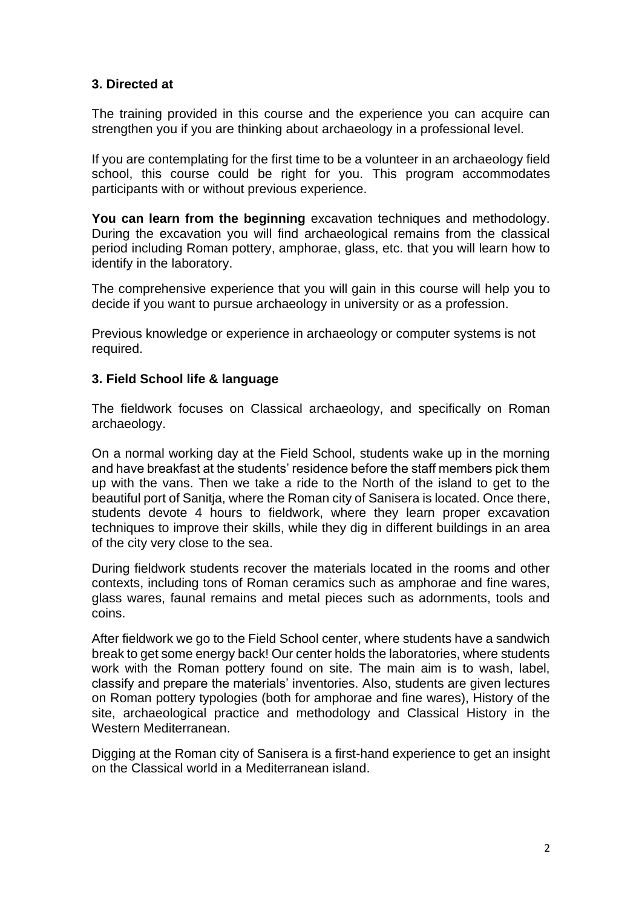### **3. Directed at**

The training provided in this course and the experience you can acquire can strengthen you if you are thinking about archaeology in a professional level.

If you are contemplating for the first time to be a volunteer in an archaeology field school, this course could be right for you. This program accommodates participants with or without previous experience.

**You can learn from the beginning** excavation techniques and methodology. During the excavation you will find archaeological remains from the classical period including Roman pottery, amphorae, glass, etc. that you will learn how to identify in the laboratory.

The comprehensive experience that you will gain in this course will help you to decide if you want to pursue archaeology in university or as a profession.

Previous knowledge or experience in archaeology or computer systems is not required.

#### **3. Field School life & language**

The fieldwork focuses on Classical archaeology, and specifically on Roman archaeology.

On a normal working day at the Field School, students wake up in the morning and have breakfast at the students' residence before the staff members pick them up with the vans. Then we take a ride to the North of the island to get to the beautiful port of Sanitja, where the Roman city of Sanisera is located. Once there, students devote 4 hours to fieldwork, where they learn proper excavation techniques to improve their skills, while they dig in different buildings in an area of the city very close to the sea.

During fieldwork students recover the materials located in the rooms and other contexts, including tons of Roman ceramics such as amphorae and fine wares, glass wares, faunal remains and metal pieces such as adornments, tools and coins.

After fieldwork we go to the Field School center, where students have a sandwich break to get some energy back! Our center holds the laboratories, where students work with the Roman pottery found on site. The main aim is to wash, label, classify and prepare the materials' inventories. Also, students are given lectures on Roman pottery typologies (both for amphorae and fine wares), History of the site, archaeological practice and methodology and Classical History in the Western Mediterranean.

Digging at the Roman city of Sanisera is a first-hand experience to get an insight on the Classical world in a Mediterranean island.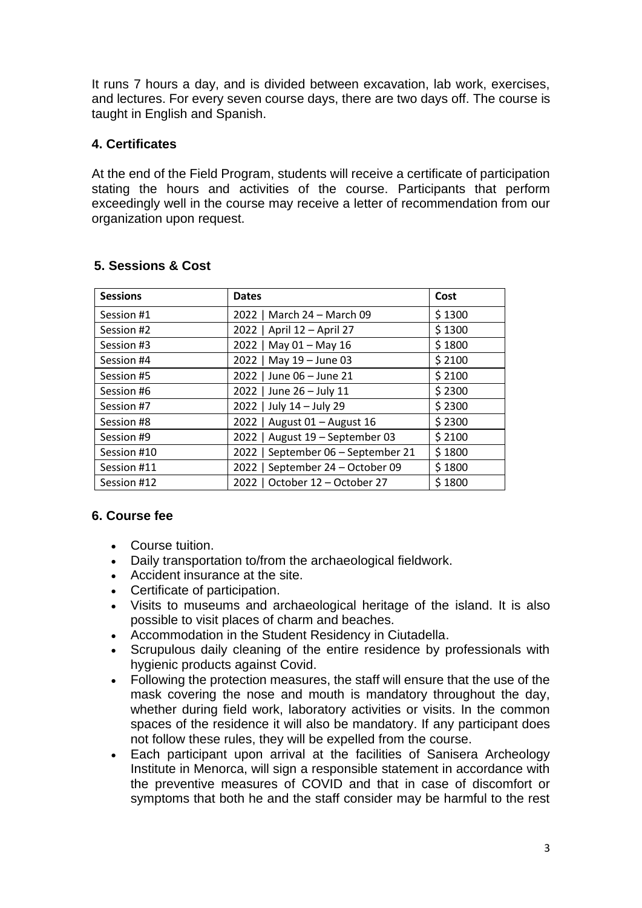It runs 7 hours a day, and is divided between excavation, lab work, exercises, and lectures. For every seven course days, there are two days off. The course is taught in English and Spanish.

### **4. Certificates**

At the end of the Field Program, students will receive a certificate of participation stating the hours and activities of the course. Participants that perform exceedingly well in the course may receive a letter of recommendation from our organization upon request.

| <b>Sessions</b> | <b>Dates</b>                        | Cost   |
|-----------------|-------------------------------------|--------|
| Session #1      | 2022   March 24 - March 09          | \$1300 |
| Session #2      | 2022   April 12 - April 27          | \$1300 |
| Session #3      | May 01 - May 16<br>2022             | \$1800 |
| Session #4      | 2022   May 19 - June 03             | \$2100 |
| Session #5      | 2022   June 06 - June 21            | \$2100 |
| Session #6      | 2022   June 26 - July 11            | \$2300 |
| Session #7      | 2022   July 14 - July 29            | \$2300 |
| Session #8      | 2022   August 01 - August 16        | \$2300 |
| Session #9      | August 19 - September 03<br>$2022$  | \$2100 |
| Session #10     | September 06 - September 21<br>2022 | \$1800 |
| Session #11     | 2022   September 24 - October 09    | \$1800 |
| Session #12     | October 12 - October 27<br>2022     | \$1800 |

### **5. Sessions & Cost**

# **6. Course fee**

- Course tuition.
- Daily transportation to/from the archaeological fieldwork.
- Accident insurance at the site.
- Certificate of participation.
- Visits to museums and archaeological heritage of the island. It is also possible to visit places of charm and beaches.
- Accommodation in the Student Residency in Ciutadella.
- Scrupulous daily cleaning of the entire residence by professionals with hygienic products against Covid.
- Following the protection measures, the staff will ensure that the use of the mask covering the nose and mouth is mandatory throughout the day, whether during field work, laboratory activities or visits. In the common spaces of the residence it will also be mandatory. If any participant does not follow these rules, they will be expelled from the course.
- Each participant upon arrival at the facilities of Sanisera Archeology Institute in Menorca, will sign a responsible statement in accordance with the preventive measures of COVID and that in case of discomfort or symptoms that both he and the staff consider may be harmful to the rest